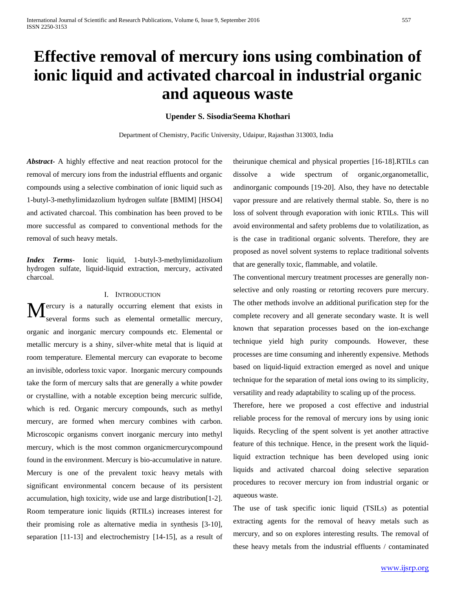# **Effective removal of mercury ions using combination of ionic liquid and activated charcoal in industrial organic and aqueous waste**

### **Upender S. Sisodia, Seema Khothari**

Department of Chemistry, Pacific University, Udaipur, Rajasthan 313003, India

*Abstract***-** A highly effective and neat reaction protocol for the removal of mercury ions from the industrial effluents and organic compounds using a selective combination of ionic liquid such as 1-butyl-3-methylimidazolium hydrogen sulfate [BMIM] [HSO4] and activated charcoal. This combination has been proved to be more successful as compared to conventional methods for the removal of such heavy metals.

*Index Terms*- Ionic liquid, 1-butyl-3-methylimidazolium hydrogen sulfate, liquid-liquid extraction, mercury, activated charcoal.

#### I. INTRODUCTION

ercury is a naturally occurring element that exists in several forms such as elemental ormetallic mercury, organic and inorganic mercury compounds etc. Elemental or metallic mercury is a shiny, silver-white metal that is liquid at room temperature. Elemental mercury can evaporate to become an invisible, odorless toxic vapor. Inorganic mercury compounds take the form of mercury salts that are generally a white powder or crystalline, with a notable exception being mercuric sulfide, which is red. Organic mercury compounds, such as methyl mercury, are formed when mercury combines with carbon. Microscopic organisms convert inorganic mercury into methyl mercury, which is the most common organicmercurycompound found in the environment. Mercury is bio-accumulative in nature. Mercury is one of the prevalent toxic heavy metals with significant environmental concern because of its persistent accumulation, high toxicity, wide use and large distribution[1-2]. Room temperature ionic liquids (RTILs) increases interest for their promising role as alternative media in synthesis [3-10], separation [11-13] and electrochemistry [14-15], as a result of M

theirunique chemical and physical properties [16-18].RTILs can dissolve a wide spectrum of organic,organometallic, andinorganic compounds [19-20]. Also, they have no detectable vapor pressure and are relatively thermal stable. So, there is no loss of solvent through evaporation with ionic RTILs. This will avoid environmental and safety problems due to volatilization, as is the case in traditional organic solvents. Therefore, they are proposed as novel solvent systems to replace traditional solvents that are generally toxic, flammable, and volatile.

The conventional mercury treatment processes are generally nonselective and only roasting or retorting recovers pure mercury. The other methods involve an additional purification step for the complete recovery and all generate secondary waste. It is well known that separation processes based on the ion-exchange technique yield high purity compounds. However, these processes are time consuming and inherently expensive. Methods based on liquid-liquid extraction emerged as novel and unique technique for the separation of metal ions owing to its simplicity, versatility and ready adaptability to scaling up of the process.

Therefore, here we proposed a cost effective and industrial reliable process for the removal of mercury ions by using ionic liquids. Recycling of the spent solvent is yet another attractive feature of this technique. Hence, in the present work the liquidliquid extraction technique has been developed using ionic liquids and activated charcoal doing selective separation procedures to recover mercury ion from industrial organic or aqueous waste.

The use of task specific ionic liquid (TSILs) as potential extracting agents for the removal of heavy metals such as mercury, and so on explores interesting results. The removal of these heavy metals from the industrial effluents / contaminated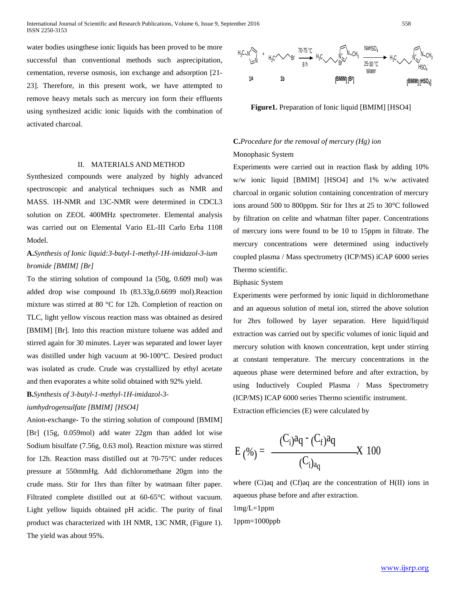water bodies usingthese ionic liquids has been proved to be more successful than conventional methods such asprecipitation, cementation, reverse osmosis, ion exchange and adsorption [21- 23]. Therefore, in this present work, we have attempted to remove heavy metals such as mercury ion form their effluents using synthesized acidic ionic liquids with the combination of activated charcoal.

#### II. MATERIALS AND METHOD

Synthesized compounds were analyzed by highly advanced spectroscopic and analytical techniques such as NMR and MASS. 1H-NMR and 13C-NMR were determined in CDCL3 solution on ZEOL 400MHz spectrometer. Elemental analysis was carried out on Elemental Vario EL-III Carlo Erba 1108 Model.

## **A.***Synthesis of Ionic liquid:3-butyl-1-methyl-1H-imidazol-3-ium bromide [BMIM] [Br]*

To the stirring solution of compound 1a (50g, 0.609 mol) was added drop wise compound 1b (83.33g,0.6699 mol).Reaction mixture was stirred at 80 °C for 12h. Completion of reaction on TLC, light yellow viscous reaction mass was obtained as desired [BMIM] [Br]. Into this reaction mixture toluene was added and stirred again for 30 minutes. Layer was separated and lower layer was distilled under high vacuum at 90-100°C. Desired product was isolated as crude. Crude was crystallized by ethyl acetate and then evaporates a white solid obtained with 92% yield.

**B.***Synthesis of 3-butyl-1-methyl-1H-imidazol-3-*

#### *iumhydrogensulfate [BMIM] [HSO4]*

Anion-exchange- To the stirring solution of compound [BMIM] [Br] (15g, 0.059mol) add water 22gm than added lot wise Sodium bisulfate (7.56g, 0.63 mol). Reaction mixture was stirred for 12h. Reaction mass distilled out at 70-75°C under reduces pressure at 550mmHg. Add dichloromethane 20gm into the crude mass. Stir for 1hrs than filter by watmaan filter paper. Filtrated complete distilled out at 60-65°C without vacuum. Light yellow liquids obtained pH acidic. The purity of final product was characterized with 1H NMR, 13C NMR, (Figure 1). The yield was about 95%.



**Figure1.** Preparation of Ionic liquid [BMIM] [HSO4]

# **C.***Procedure for the removal of mercury (Hg) ion*

#### Monophasic System

Experiments were carried out in reaction flask by adding 10% w/w ionic liquid [BMIM] [HSO4] and 1% w/w activated charcoal in organic solution containing concentration of mercury ions around 500 to 800ppm. Stir for 1hrs at 25 to 30°C followed by filtration on celite and whatman filter paper. Concentrations of mercury ions were found to be 10 to 15ppm in filtrate. The mercury concentrations were determined using inductively coupled plasma / Mass spectrometry (ICP/MS) iCAP 6000 series Thermo scientific.

#### Biphasic System

Experiments were performed by ionic liquid in dichloromethane and an aqueous solution of metal ion, stirred the above solution for 2hrs followed by layer separation. Here liquid/liquid extraction was carried out by specific volumes of ionic liquid and mercury solution with known concentration, kept under stirring at constant temperature. The mercury concentrations in the aqueous phase were determined before and after extraction, by using Inductively Coupled Plasma / Mass Spectrometry (ICP/MS) ICAP 6000 series Thermo scientific instrument.

Extraction efficiencies (E) were calculated by

$$
E(\%) = \frac{(C_i)a_q - (C_f)a_q}{(C_i)_{a_q}} \quad X \quad 100
$$

where (Ci)aq and (Cf)aq are the concentration of H(II) ions in aqueous phase before and after extraction.

 $1mg/L=1ppm$ 1ppm=1000ppb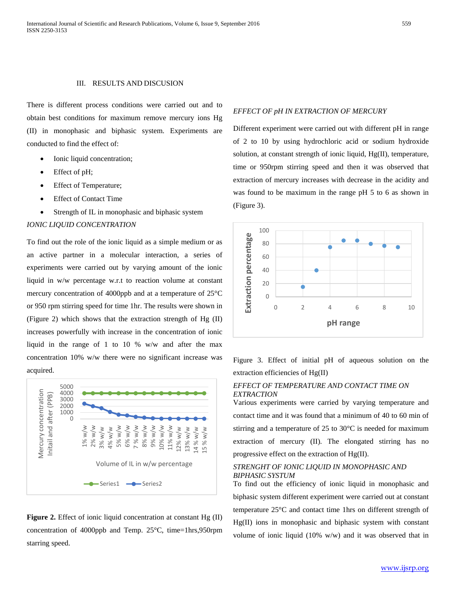#### III. RESULTS AND DISCUSION

There is different process conditions were carried out and to obtain best conditions for maximum remove mercury ions Hg (II) in monophasic and biphasic system. Experiments are conducted to find the effect of:

- Ionic liquid concentration;
- Effect of pH;
- Effect of Temperature;
- **Effect of Contact Time**
- Strength of IL in monophasic and biphasic system

#### *IONIC LIQUID CONCENTRATION*

To find out the role of the ionic liquid as a simple medium or as an active partner in a molecular interaction, a series of experiments were carried out by varying amount of the ionic liquid in w/w percentage w.r.t to reaction volume at constant mercury concentration of 4000ppb and at a temperature of 25°C or 950 rpm stirring speed for time 1hr. The results were shown in (Figure 2) which shows that the extraction strength of Hg (II) increases powerfully with increase in the concentration of ionic liquid in the range of 1 to 10 % w/w and after the max concentration 10% w/w there were no significant increase was acquired.



**Figure 2.** Effect of ionic liquid concentration at constant Hg (II) concentration of 4000ppb and Temp. 25°C, time=1hrs,950rpm starring speed.

#### *EFFECT OF pH IN EXTRACTION OF MERCURY*

Different experiment were carried out with different pH in range of 2 to 10 by using hydrochloric acid or sodium hydroxide solution, at constant strength of ionic liquid, Hg(II), temperature, time or 950rpm stirring speed and then it was observed that extraction of mercury increases with decrease in the acidity and was found to be maximum in the range pH 5 to 6 as shown in (Figure 3).



Figure 3. Effect of initial pH of aqueous solution on the extraction efficiencies of Hg(II)

#### *EFFECT OF TEMPERATURE AND CONTACT TIME ON EXTRACTION*

Various experiments were carried by varying temperature and contact time and it was found that a minimum of 40 to 60 min of stirring and a temperature of 25 to 30°C is needed for maximum extraction of mercury (II). The elongated stirring has no progressive effect on the extraction of Hg(II).

#### *STRENGHT OF IONIC LIQUID IN MONOPHASIC AND BIPHASIC SYSTUM*

To find out the efficiency of ionic liquid in monophasic and biphasic system different experiment were carried out at constant temperature 25°C and contact time 1hrs on different strength of Hg(II) ions in monophasic and biphasic system with constant volume of ionic liquid (10% w/w) and it was observed that in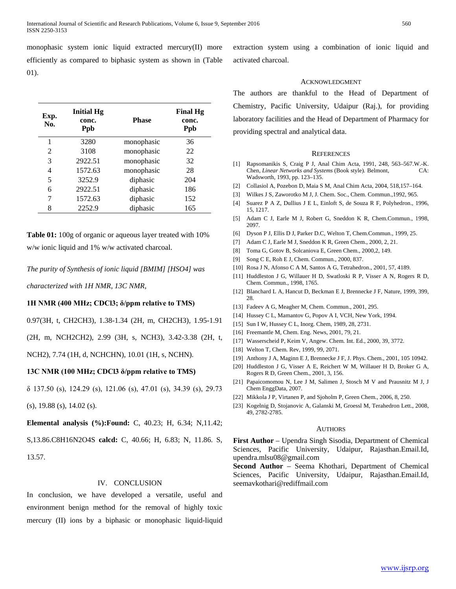monophasic system ionic liquid extracted mercury(II) more efficiently as compared to biphasic system as shown in (Table 01).

| Exp.<br>No. | <b>Initial Hg</b><br>conc.<br>Ppb | <b>Phase</b> | <b>Final Hg</b><br>conc.<br><b>Ppb</b> |
|-------------|-----------------------------------|--------------|----------------------------------------|
| 1           | 3280                              | monophasic   | 36                                     |
| 2           | 3108                              | monophasic   | 22                                     |
| 3           | 2922.51                           | monophasic   | 32                                     |
| 4           | 1572.63                           | monophasic   | 28                                     |
| 5           | 3252.9                            | diphasic     | 204                                    |
| 6           | 2922.51                           | diphasic     | 186                                    |
| 7           | 1572.63                           | diphasic     | 152                                    |
| 8           | 2252.9                            | diphasic     | 165                                    |

**Table 01:** 100g of organic or aqueous layer treated with 10% w/w ionic liquid and 1% w/w activated charcoal.

#### *The purity of Synthesis of ionic liquid [BMIM] [HSO4] was*

*characterized with 1H NMR, 13C NMR,*

#### **1H NMR (400 MHz; CDCl3; δ/ppm relative to TMS)**

0.97(3H, t, CH2CH3), 1.38-1.34 (2H, m, CH2CH3), 1.95-1.91

(2H, m, NCH2CH2), 2.99 (3H, s, NCH3), 3.42-3.38 (2H, t,

NCH2), 7.74 (1H, d, NCHCHN), 10.01 (1H, s, NCHN).

#### **13C NMR (100 MHz; CDCl3 δ/ppm relative to TMS)**

δ 137.50 (s), 124.29 (s), 121.06 (s), 47.01 (s), 34.39 (s), 29.73

(s), 19.88 (s), 14.02 (s).

**Elemental analysis (%):Found:** C, 40.23; H, 6.34; N,11.42;

S,13.86.C8H16N2O4S **calcd:** C, 40.66; H, 6.83; N, 11.86. S, 13.57.

#### IV. CONCLUSION

In conclusion, we have developed a versatile, useful and environment benign method for the removal of highly toxic mercury (II) ions by a biphasic or monophasic liquid-liquid

extraction system using a combination of ionic liquid and activated charcoal.

#### ACKNOWLEDGMENT

The authors are thankful to the Head of Department of Chemistry, Pacific University, Udaipur (Raj.), for providing laboratory facilities and the Head of Department of Pharmacy for providing spectral and analytical data.

#### **REFERENCES**

- [1] Rapsomanikis S, Craig P J, Anal Chim Acta, 1991, 248, 563–567.W.-K. Chen, *Linear Networks and Systems* (Book style)*.* Belmont, CA: Wadsworth, 1993, pp. 123–135.
- [2] Collasiol A, Pozebon D, Maia S M, Anal Chim Acta, 2004, 518,157–164.
- [3] Wilkes J S, Zaworotko M J, J. Chem. Soc., Chem. Commun.,1992, 965.
- [4] Suarez P A Z, Dullius J E L, Einloft S, de Souza R F, Polyhedron., 1996, 15, 1217.
- [5] Adam C J, Earle M J, Robert G, Sneddon K R, Chem.Commun., 1998, 2097.
- [6] Dyson P J, Ellis D J, Parker D.C, Welton T, Chem.Commun., 1999, 25.
- [7] Adam C J, Earle M J, Sneddon K R, Green Chem., 2000, 2, 21.
- [8] Toma G, Gotov B, Solcaniova E, Green Chem., 2000,2, 149.
- [9] Song C E, Roh E J, Chem. Commun., 2000, 837.
- [10] Rosa J N, Afonso C A M, Santos A G, Tetrahedron., 2001, 57, 4189.
- [11] Huddleston J G, Willauer H D, Swatloski R P, Visser A N, Rogers R D, Chem. Commun., 1998, 1765.
- [12] Blanchard L A, Hancut D, Beckman E J, Brennecke J F, Nature, 1999, 399, 28.
- [13] Fadeev A G, Meagher M, Chem. Commun., 2001, 295.
- [14] Hussey C L, Mamantov G, Popov A I, VCH, New York, 1994.
- [15] Sun I W, Hussey C L, Inorg. Chem, 1989, 28, 2731.
- [16] Freemantle M, Chem. Eng. News, 2001, 79, 21.
- [17] Wasserscheid P, Keim V, Angew. Chem. Int. Ed., 2000, 39, 3772.
- [18] Welton T, Chem. Rev, 1999, 99, 2071.
- [19] Anthony J A, Maginn E J, Brennecke J F, J. Phys. Chem., 2001, 105 10942.
- [20] Huddleston J G, Visser A E, Reichert W M, Willauer H D, Broker G A, Rogers R D, Green Chem., 2001, 3, 156.
- [21] Papaicomomou N, Lee J M, Salimen J, Stosch M V and Prausnitz M J, J Chem EnggData, 2007.
- [22] Mikkola J P, Virtanen P, and Sjoholm P, Green Chem., 2006, 8, 250.
- [23] Kogelnig D, Stojanovic A, Galanski M, Groessl M, Terahedron Lett., 2008, 49, 2782-2785.

#### AUTHORS

**First Author** – Upendra Singh Sisodia, Department of Chemical Sciences, Pacific University, Udaipur, Rajasthan.Email.Id, upendra.mlsu08@gmail.com

**Second Author** – Seema Khothari, Department of Chemical Sciences, Pacific University, Udaipur, Rajasthan.Email.Id, seemavkothari@rediffmail.com